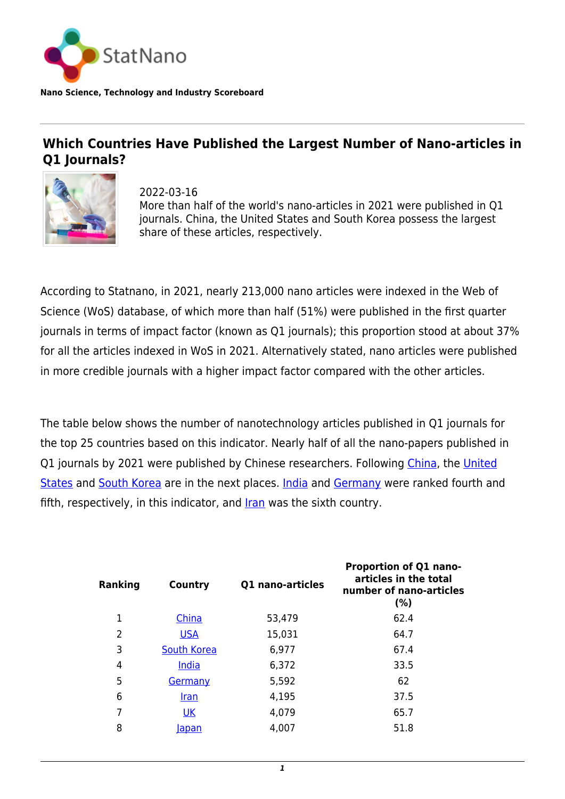

**Nano Science, Technology and Industry Scoreboard**

## **Which Countries Have Published the Largest Number of Nano-articles in Q1 Journals?**



2022-03-16 More than half of the world's nano-articles in 2021 were published in Q1 journals. China, the United States and South Korea possess the largest share of these articles, respectively.

According to Statnano, in 2021, nearly 213,000 nano articles were indexed in the Web of Science (WoS) database, of which more than half (51%) were published in the first quarter journals in terms of impact factor (known as Q1 journals); this proportion stood at about 37% for all the articles indexed in WoS in 2021. Alternatively stated, nano articles were published in more credible journals with a higher impact factor compared with the other articles.

The table below shows the number of nanotechnology articles published in Q1 journals for the top 25 countries based on this indicator. Nearly half of all the nano-papers published in Q1 journals by 2021 were published by Chinese researchers. Following [China](http://statnano.com/country/China), the [United](http://statnano.com/country/USA) [States](http://statnano.com/country/USA) and [South Korea](http://statnano.com/country/South_Korea) are in the next places. [India](http://statnano.com/country/India) and [Germany](http://statnano.com/country/Germany) were ranked fourth and fifth, respectively, in this indicator, and [Iran](http://statnano.com/country/Iran) was the sixth country.

| <b>Ranking</b> | Country            | Q1 nano-articles | Proportion of Q1 nano-<br>articles in the total<br>number of nano-articles<br>(%) |
|----------------|--------------------|------------------|-----------------------------------------------------------------------------------|
| 1              | China              | 53,479           | 62.4                                                                              |
| 2              | <b>USA</b>         | 15,031           | 64.7                                                                              |
| 3              | <b>South Korea</b> | 6,977            | 67.4                                                                              |
| 4              | <u>India</u>       | 6,372            | 33.5                                                                              |
| 5              | Germany            | 5,592            | 62                                                                                |
| 6              | <u>Iran</u>        | 4,195            | 37.5                                                                              |
| 7              | <b>UK</b>          | 4,079            | 65.7                                                                              |
| 8              | <u>lapan</u>       | 4,007            | 51.8                                                                              |